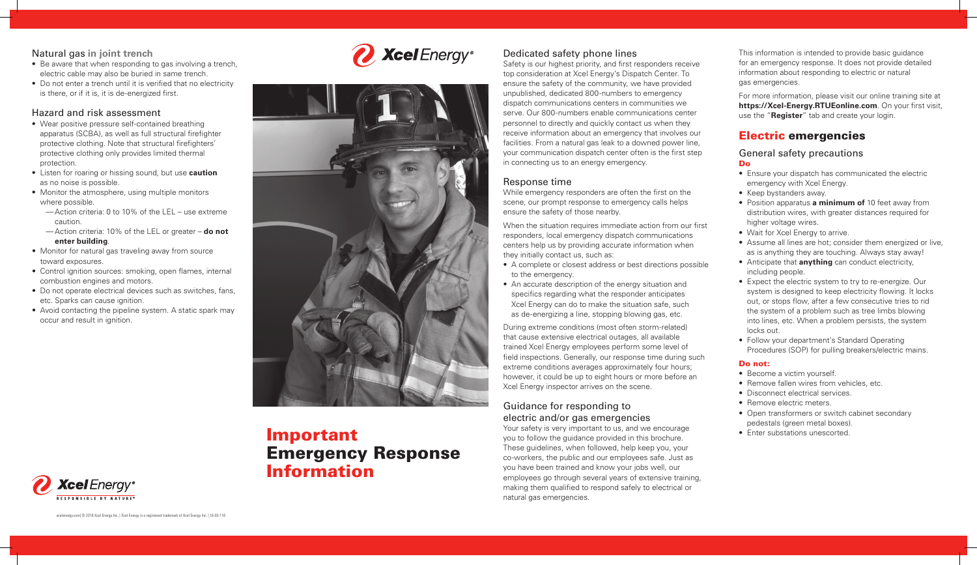# Important Emergency Response Information

## Natural gas **in joint trench**

- Be aware that when responding to gas involving a trench, electric cable may also be buried in same trench.
- Do not enter a trench until it is verified that no electricity is there, or if it is, it is de-energized first.

## Hazard and risk assessment

- Wear positive pressure self-contained breathing apparatus (SCBA), as well as full structural firefighter protective clothing. Note that structural firefighters' protective clothing only provides limited thermal protection.
- Listen for roaring or hissing sound, but use **caution** as no noise is possible.
- Monitor the atmosphere, using multiple monitors where possible.
	- —Action criteria: 0 to 10% of the LEL use extreme caution.
	- —Action criteria: 10% of the LEL or greater **do not enter building**.
- Monitor for natural gas traveling away from source toward exposures.
- Control ignition sources: smoking, open flames, internal combustion engines and motors.
- Do not operate electrical devices such as switches, fans, etc. Sparks can cause ignition.
- Avoid contacting the pipeline system. A static spark may occur and result in ignition.





• Follow your department's Standard Operating Procedures (SOP) for pulling breakers/electric mains.

- Become a victim yourself.
- Remove fallen wires from vehicles, etc.
- Disconnect electrical services.
- Remove electric meters.
- Open transformers or switch cabinet secondary
- pedestals (green metal boxes).
- Enter substations unescorted.

This information is intended to provide basic guidance for an emergency response. It does not provide detailed information about responding to electric or natural gas emergencies.

For more information, please visit our online training site at **https://Xcel-Energy.RTUEonline.com**. On your first visit, use the "**Register**" tab and create your login.

## Electric emergencies

## General safety precautions

# Do

- 
- 

- 
- 
- 

- Ensure your dispatch has communicated the electric emergency with Xcel Energy.
- Keep bystanders away.
- Position apparatus **a minimum of** 10 feet away from distribution wires, with greater distances required for higher voltage wires.
- Wait for Xcel Energy to arrive.
- Assume all lines are hot; consider them energized or live, as is anything they are touching. Always stay away! • Anticipate that **anything** can conduct electricity, including people.

• Expect the electric system to try to re-energize. Our system is designed to keep electricity flowing. It locks out, or stops flow, after a few consecutive tries to rid the system of a problem such as tree limbs blowing into lines, etc. When a problem persists, the system locks out.

- 
- 
- 
- 
- 
- 



#### Do not:

## Dedicated safety phone lines

Safety is our highest priority, and first responders receive top consideration at Xcel Energy's Dispatch Center. To ensure the safety of the community, we have provided unpublished, dedicated 800-numbers to emergency dispatch communications centers in communities we serve. Our 800-numbers enable communications center personnel to directly and quickly contact us when they receive information about an emergency that involves our facilities. From a natural gas leak to a downed power line, your communication dispatch center often is the first step in connecting us to an energy emergency.

## Response time

While emergency responders are often the first on the scene, our prompt response to emergency calls helps ensure the safety of those nearby.

When the situation requires immediate action from our first responders, local emergency dispatch communications centers help us by providing accurate information when they initially contact us, such as:

- A complete or closest address or best directions possible to the emergency.
- An accurate description of the energy situation and specifics regarding what the responder anticipates Xcel Energy can do to make the situation safe, such as de-energizing a line, stopping blowing gas, etc.

During extreme conditions (most often storm-related) that cause extensive electrical outages, all available trained Xcel Energy employees perform some level of field inspections. Generally, our response time during such extreme conditions averages approximately four hours; however, it could be up to eight hours or more before an Xcel Energy inspector arrives on the scene.

## Guidance for responding to electric and/or gas emergencies

Your safety is very important to us, and we encourage you to follow the guidance provided in this brochure. These guidelines, when followed, help keep you, your co-workers, the public and our employees safe. Just as you have been trained and know your jobs well, our employees go through several years of extensive training, making them qualified to respond safely to electrical or natural gas emergencies.